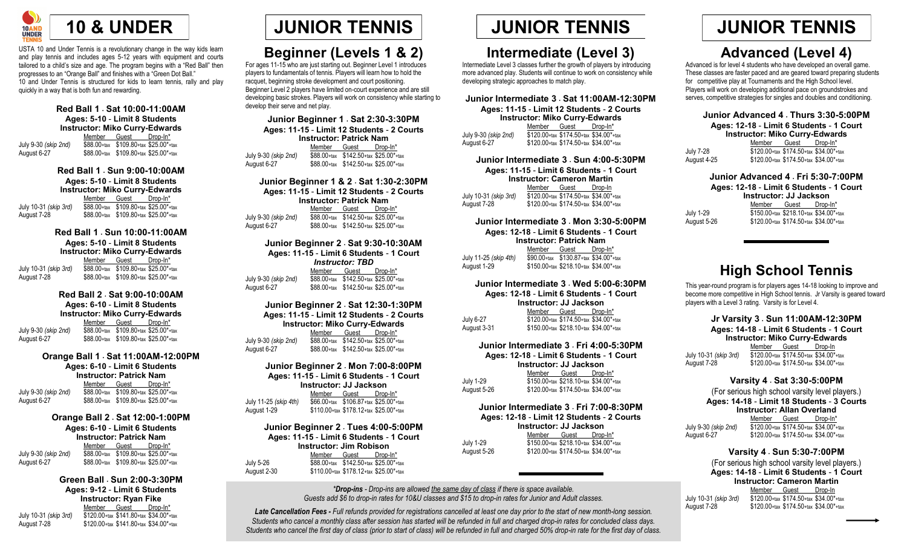

USTA 10 and Under Tennis is a revolutionary change in the way kids learn and play tennis and includes ages 5-12 years with equipment and courts tailored to a child's size and age. The program begins with a "Red Ball" then progresses to an "Orange Ball" and finishes with a "Green Dot Ball." 10 and Under Tennis is structured for kids to learn tennis, rally and play quickly in a way that is both fun and rewarding.

### **Red Ball 1** · **Sat 10:00-11:00AM Ages: 5-10** - **Limit 8 Students Instructor: Miko Curry-Edwards** Member Guest Drop-In\* July 9-30 *(skip 2nd)* \$88.00+tax \$109.80+tax \$25.00\*+tax August 6-27 \$88.00+tax \$109.80+tax \$25.00\*+tax

**Red Ball 1** · **Sun 9:00-10:00AM Ages: 5-10** - **Limit 8 Students**

**Instructor: Miko Curry-Edwards** Member Guest Drop-In\* July 10-31 *(skip 3rd)* \$88.00+tax \$109.80+tax \$25.00\*+tax  $$88.00+$ tax  $$109.80+$ tax  $$25.00*$ +tax

### **Red Ball 1** · **Sun 10:00-11:00AM Ages: 5-10** - **Limit 8 Students**

**Instructor: Miko Curry-Edwards** Member Guest Drop-In\* July 10-31 *(skip 3rd)* \$88.00+tax \$109.80+tax \$25.00\*+tax August 7-28 \$88.00+tax \$109.80+tax \$25.00\*+tax

### **Red Ball 2** · **Sat 9:00-10:00AM**

**Ages: 6-10** - **Limit 8 Students Instructor: Miko Curry-Edwards** Member Guest Drop-In\* July 9-30 *(skip 2nd)* \$88.00+tax \$109.80+tax \$25.00\*+tax August 6-27 \$88.00+tax \$109.80+tax \$25.00\*+tax

### **Orange Ball 1** · **Sat 11:00AM-12:00PM**

**Ages: 6-10** - **Limit 6 Students Instructor: Patrick Nam** Member Guest Drop-In\*

July 9-30 *(skip 2nd)* \$88.00+tax \$109.80+tax \$25.00\*+tax August 6-27 \$88.00+tax \$109.80+tax \$25.00\*+tax

### **Orange Ball 2** · **Sat 12:00-1:00PM Ages: 6-10** - **Limit 6 Students**

**Instructor: Patrick Nam**<br>Member Guest Drop-In\* Member Guest July 9-30 *(skip 2nd)* \$88.00+tax \$109.80+tax \$25.00\*+tax  $$88.00+$ tax  $$109.80+$ tax  $$25.00*$ +tax

### **Green Ball** · **Sun 2:00-3:30PM**

**Ages: 9-12** - **Limit 6 Students Instructor: Ryan Fike** Member Guest Drop-In\* July 10-31 *(skip 3rd)* \$120.00+tax \$141.80+tax \$34.00\*+tax August 7-28 \$120.00+tax \$141.80+tax \$34.00\*+tax

## **Beginner (Levels 1 & 2)**

For ages 11-15 who are just starting out. Beginner Level 1 introduces players to fundamentals of tennis. Players will learn how to hold the racquet, beginning stroke development and court positioning. Beginner Level 2 players have limited on-court experience and are still developing basic strokes. Players will work on consistency while starting to develop their serve and net play.

**Junior Beginner 1** · **Sat 2:30-3:30PM Ages: 11-15** - **Limit 12 Students** - **2 Courts Instructor: Patrick Nam** Member Guest Drop-In\* July 9-30 *(skip 2nd)* \$88.00+tax \$142.50+tax \$25.00\*+tax  $$88.00+$ tax  $$142.50+$ tax  $$25.00*$ +tax

**Junior Beginner 1 & 2** · **Sat 1:30-2:30PM Ages: 11-15** - **Limit 12 Students** - **2 Courts Instructor: Patrick Nam**

Member Guest Drop-In\* July 9-30 *(skip 2nd)* \$88.00+tax \$142.50+tax \$25.00\*+tax August 6-27 \$88.00+tax \$142.50+tax \$25.00\*+tax

### **Junior Beginner 2** · **Sat 9:30-10:30AM Ages: 11-15** - **Limit 6 Students** - **1 Court** *Instructor: TBD* Member Guest Drop-In\* July 9-30 *(skip 2nd)* \$88.00+tax \$142.50+tax \$25.00\*+tax August 6-27 \$88.00+tax \$142.50+tax \$25.00\*+tax

**Junior Beginner 2** · **Sat 12:30-1:30PM Ages: 11-15** - **Limit 12 Students** - **2 Courts Instructor: Miko Curry-Edwards** Member Guest Drop-In\* July 9-30 *(skip 2nd)* \$88.00+tax \$142.50+tax \$25.00\*+tax August 6-27 \$88.00+tax \$142.50+tax \$25.00\*+tax

**Junior Beginner 2** · **Mon 7:00-8:00PM Ages: 11-15** - **Limit 6 Students** - **1 Court Instructor: JJ Jackson** Member Guest Drop-In\* July 11-25 *(skip 4th)* \$66.00+tax \$106.87+tax \$25.00\*+tax  $$110.00+$ tax  $$178.12+$ tax  $$25.00*$ +tax

### **Junior Beginner 2** · **Tues 4:00-5:00PM Ages: 11-15** - **Limit 6 Students** - **1 Court Instructor: Jim Robison** Member Guest Drop-In\* July 5-26 \$88.00+tax \$142.50+tax \$25.00\*+tax August 2-30 \$110.00+tax \$178.12+tax \$25.00\*+tax

## **JUNIOR TENNIS JUNIOR TENNIS JUNIOR TENNIS**

## **Intermediate (Level 3)**

Intermediate Level 3 classes further the growth of players by introducing more advanced play. Students will continue to work on consistency while developing strategic approaches to match play.

**Junior Intermediate 3** · **Sat 11:00AM-12:30PM Ages: 11-15** - **Limit 12 Students** - **2 Courts Instructor: Miko Curry-Edwards** Member Guest Drop-In\*

July 9-30 *(skip 2nd)* \$120.00+tax \$174.50+tax \$34.00\*+tax August 6-27 \$120.00+tax \$174.50+tax \$34.00\*+tax

**Junior Intermediate 3** · **Sun 4:00-5:30PM Ages: 11-15** - **Limit 6 Students** - **1 Court Instructor: Cameron Martin** Member Guest Drop-In July 10-31 *(skip 3rd)* \$120.00+tax \$174.50+tax \$34.00\*+tax August 7-28 \$120.00+tax \$174.50+tax \$34.00\*+tax

**Junior Intermediate 3** · **Mon 3:30-5:00PM Ages: 12-18** - **Limit 6 Students** - **1 Court Instructor: Patrick Nam** Member Guest Drop-In\* July 11-25 *(skip 4th)* \$90.00+tax \$130.87+tax \$34.00\*+tax August 1-29 \$150.00+tax \$218.10+tax \$34.00\*+tax

### **Junior Intermediate 3** · **Wed 5:00-6:30PM**

**Ages: 12-18** - **Limit 6 Students** - **1 Court Instructor: JJ Jackson** Member Guest Drop-In\* July 6-27  $$120.00+$ tax  $$174.50+$ tax  $$34.00*$ +tax August 3-31 \$150.00+tax \$218.10+tax \$34.00\*+tax

### **Junior Intermediate 3** · **Fri 4:00-5:30PM**

**Ages: 12-18** - **Limit 6 Students** - **1 Court Instructor: JJ Jackson** Member Guest Drop-In\* July 1-29  $\overline{$}150.00+$ tax  $\overline{$}218.10+$ tax  $\overline{$}34.00+$ tax August 5-26 \$120.00+tax \$174.50+tax \$34.00\*+tax

### **Junior Intermediate 3** · **Fri 7:00-8:30PM Ages: 12-18** - **Limit 12 Students** - **2 Courts**

**Instructor: JJ Jackson** Member Guest Drop-In\* July 1-29 \$150.00+tax \$218.10+tax \$34.00\*+tax August 5-26 \$120.00+tax \$174.50+tax \$34.00\*+tax

*\*Drop-ins - Drop-ins are allowed the same day of class if there is space available. Guests add \$6 to drop-in rates for 10&U classes and \$15 to drop-in rates for Junior and Adult classes.*

*Late Cancellation Fees - Full refunds provided for registrations cancelled at least one day prior to the start of new month-long session. Students who cancel a monthly class after session has started will be refunded in full and charged drop-in rates for concluded class days. Students who cancel the first day of class (prior to start of class) will be refunded in full and charged 50% drop-in rate for the first day of class.*

## **Advanced (Level 4)**

Advanced is for level 4 students who have developed an overall game. These classes are faster paced and are geared toward preparing students for competitive play at Tournaments and the High School level. Players will work on developing additional pace on groundstrokes and serves, competitive strategies for singles and doubles and conditioning.

**Junior Advanced 4** · **Thurs 3:30-5:00PM Ages: 12-18** - **Limit 6 Students** - **1 Court**

| <b>Instructor: Miko Curry-Edwards</b> |  |  |
|---------------------------------------|--|--|
| Mombor Cusof Drop Int                 |  |  |

|             | Member | Guest                                  | Drop-In* |
|-------------|--------|----------------------------------------|----------|
| July 7-28   |        | \$120.00+tax \$174.50+tax \$34.00*+tax |          |
| August 4-25 |        | \$120.00+tax \$174.50+tax \$34.00*+tax |          |

**Junior Advanced 4** · **Fri 5:30-7:00PM**

**Ages: 12-18** - **Limit 6 Students** - **1 Court**

**Instructor: JJ Jackson** Member Guest Drop-In'

July 1-29  $\overline{$}150.00+$ tax  $\overline{$}218.10+$ tax  $\overline{$}34.00+$ tax August 5-26 \$120.00+tax \$174.50+tax \$34.00\*+tax

## **High School Tennis**

This year-round program is for players ages 14-18 looking to improve and become more competitive in High School tennis. Jr Varsity is geared toward players with a Level 3 rating. Varsity is for Level 4.

### **Jr Varsity 3** · **Sun 11:00AM-12:30PM Ages: 14-18** - **Limit 6 Students** - **1 Court Instructor: Miko Curry-Edwards** Member Guest Drop-In July 10-31 *(skip 3rd)* \$120.00+tax \$174.50+tax \$34.00\*+tax August 7-28 \$120.00+tax \$174.50+tax \$34.00\*+tax

### **Varsity 4** · **Sat 3:30-5:00PM**

(For serious high school varsity level players.) **Ages: 14-18** - **Limit 18 Students** - **3 Courts Instructor: Allan Overland** Member Guest Drop-In\* July 9-30 *(skip 2nd)* \$120.00+tax \$174.50+tax \$34.00\*+tax August 6-27 \$120.00+tax \$174.50+tax \$34.00\*+tax

### **Varsity 4** · **Sun 5:30-7:00PM**

(For serious high school varsity level players.) **Ages: 14-18** - **Limit 6 Students** - **1 Court Instructor: Cameron Martin** Member Guest Drop-In July 10-31 *(skip 3rd)* \$120.00+tax \$174.50+tax \$34.00\*+tax August 7-28 \$120.00+tax \$174.50+tax \$34.00\*+tax